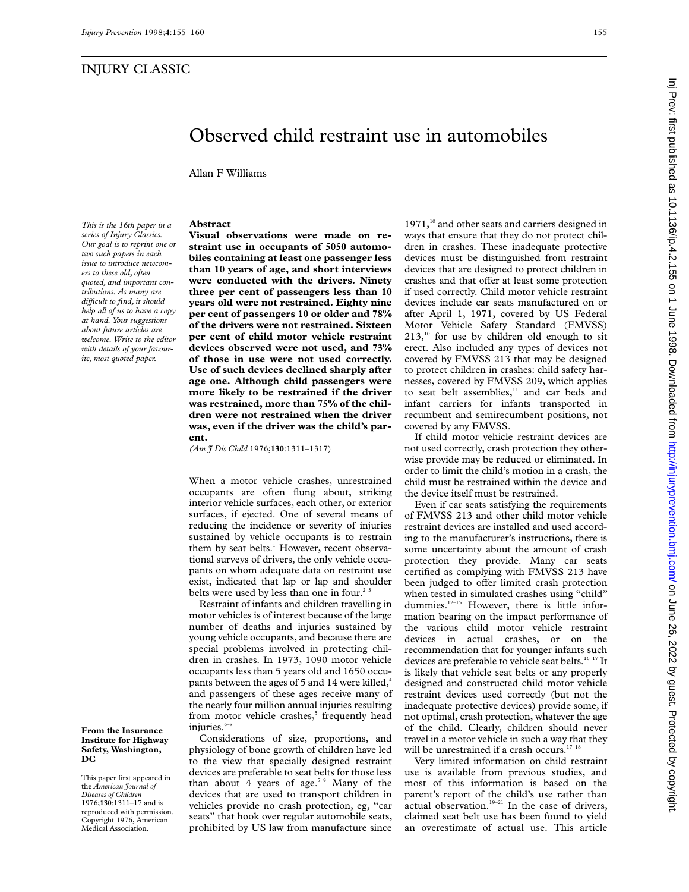# INJURY CLASSIC

Allan F Williams

*This is the 16th paper in a series of Injury Classics. Our goal is to reprint one or two such papers in each issue to introduce newcomers to these old, often quoted, and important contributions. As many are diYcult to find, it should help all of us to have a copy at hand. Your suggestions about future articles are welcome. Write to the editor with details of your favourite, most quoted paper.*

#### **From the Insurance Institute for Highway Safety, Washington, DC**

This paper first appeared in the *American Journal of Diseases of Children* 1976;**130**:1311–17 and is reproduced with permission. Copyright 1976, American Medical Association.

### **Abstract**

**Visual observations were made on restraint use in occupants of 5050 automobiles containing at least one passenger less than 10 years of age, and short interviews were conducted with the drivers. Ninety three per cent of passengers less than 10 years old were not restrained. Eighty nine per cent of passengers 10 or older and 78% of the drivers were not restrained. Sixteen per cent of child motor vehicle restraint devices observed were not used, and 73% of those in use were not used correctly. Use of such devices declined sharply after age one. Although child passengers were more likely to be restrained if the driver was restrained, more than 75% of the children were not restrained when the driver was, even if the driver was the child's parent.**

*(Am J Dis Child* 1976;**130**:1311–1317)

When a motor vehicle crashes, unrestrained occupants are often flung about, striking interior vehicle surfaces, each other, or exterior surfaces, if ejected. One of several means of reducing the incidence or severity of injuries sustained by vehicle occupants is to restrain them by seat belts.<sup>1</sup> However, recent observational surveys of drivers, the only vehicle occupants on whom adequate data on restraint use exist, indicated that lap or lap and shoulder belts were used by less than one in four.<sup>2 3</sup>

Restraint of infants and children travelling in motor vehicles is of interest because of the large number of deaths and injuries sustained by young vehicle occupants, and because there are special problems involved in protecting children in crashes. In 1973, 1090 motor vehicle occupants less than 5 years old and 1650 occupants between the ages of 5 and 14 were killed, $\frac{4}{3}$ and passengers of these ages receive many of the nearly four million annual injuries resulting from motor vehicle crashes,<sup>5</sup> frequently head injuries. $6-8$ 

Considerations of size, proportions, and physiology of bone growth of children have led to the view that specially designed restraint devices are preferable to seat belts for those less than about 4 years of age.<sup>79</sup> Many of the devices that are used to transport children in vehicles provide no crash protection, eg, "car seats" that hook over regular automobile seats, prohibited by US law from manufacture since

 $1971$ ,<sup>10</sup> and other seats and carriers designed in ways that ensure that they do not protect children in crashes. These inadequate protective devices must be distinguished from restraint devices that are designed to protect children in crashes and that offer at least some protection if used correctly. Child motor vehicle restraint devices include car seats manufactured on or after April 1, 1971, covered by US Federal Motor Vehicle Safety Standard (FMVSS)  $213$ ,<sup>10</sup> for use by children old enough to sit erect. Also included any types of devices not covered by FMVSS 213 that may be designed to protect children in crashes: child safety harnesses, covered by FMVSS 209, which applies to seat belt assemblies,<sup>11</sup> and car beds and infant carriers for infants transported in recumbent and semirecumbent positions, not covered by any FMVSS.

If child motor vehicle restraint devices are not used correctly, crash protection they otherwise provide may be reduced or eliminated. In order to limit the child's motion in a crash, the child must be restrained within the device and the device itself must be restrained.

Even if car seats satisfying the requirements of FMVSS 213 and other child motor vehicle restraint devices are installed and used according to the manufacturer's instructions, there is some uncertainty about the amount of crash protection they provide. Many car seats certified as complying with FMVSS 213 have been judged to offer limited crash protection when tested in simulated crashes using "child" dummies.<sup>12-15</sup> However, there is little information bearing on the impact performance of the various child motor vehicle restraint devices in actual crashes, or on the recommendation that for younger infants such devices are preferable to vehicle seat belts.<sup>16 17</sup> It is likely that vehicle seat belts or any properly designed and constructed child motor vehicle restraint devices used correctly (but not the inadequate protective devices) provide some, if not optimal, crash protection, whatever the age of the child. Clearly, children should never travel in a motor vehicle in such a way that they will be unrestrained if a crash occurs.<sup>17 18</sup>

Very limited information on child restraint use is available from previous studies, and most of this information is based on the parent's report of the child's use rather than  $\alpha$  actual observation.<sup>19–21</sup> In the case of drivers, claimed seat belt use has been found to yield an overestimate of actual use. This article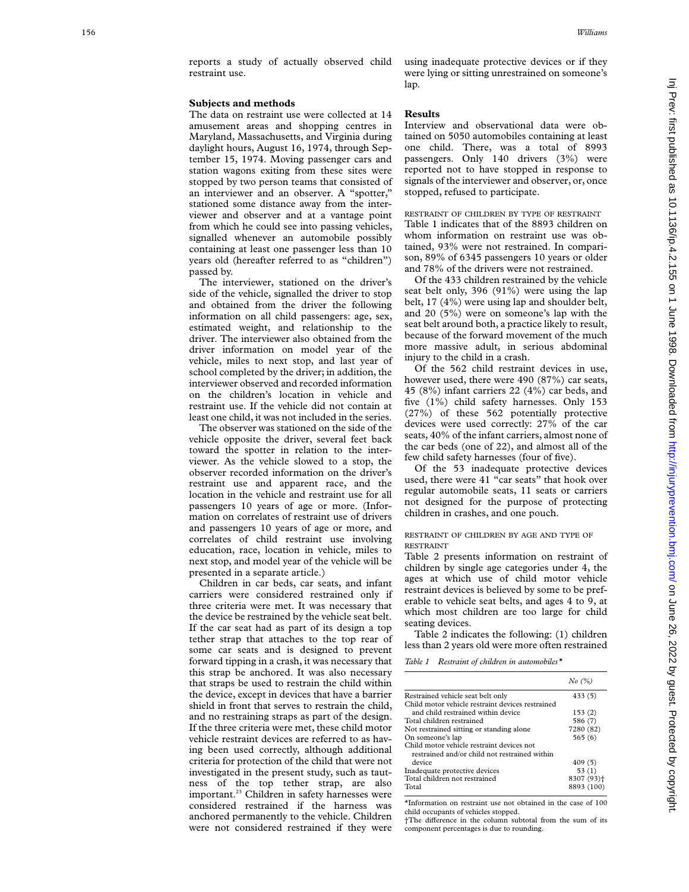reports a study of actually observed child restraint use.

## **Subjects and methods**

The data on restraint use were collected at 14 amusement areas and shopping centres in Maryland, Massachusetts, and Virginia during daylight hours, August 16, 1974, through September 15, 1974. Moving passenger cars and station wagons exiting from these sites were stopped by two person teams that consisted of an interviewer and an observer. A "spotter," stationed some distance away from the interviewer and observer and at a vantage point from which he could see into passing vehicles, signalled whenever an automobile possibly containing at least one passenger less than 10 years old (hereafter referred to as "children") passed by.

The interviewer, stationed on the driver's side of the vehicle, signalled the driver to stop and obtained from the driver the following information on all child passengers: age, sex, estimated weight, and relationship to the driver. The interviewer also obtained from the driver information on model year of the vehicle, miles to next stop, and last year of school completed by the driver; in addition, the interviewer observed and recorded information on the children's location in vehicle and restraint use. If the vehicle did not contain at least one child, it was not included in the series.

The observer was stationed on the side of the vehicle opposite the driver, several feet back toward the spotter in relation to the interviewer. As the vehicle slowed to a stop, the observer recorded information on the driver's restraint use and apparent race, and the location in the vehicle and restraint use for all passengers 10 years of age or more. (Information on correlates of restraint use of drivers and passengers 10 years of age or more, and correlates of child restraint use involving education, race, location in vehicle, miles to next stop, and model year of the vehicle will be presented in a separate article.)

Children in car beds, car seats, and infant carriers were considered restrained only if three criteria were met. It was necessary that the device be restrained by the vehicle seat belt. If the car seat had as part of its design a top tether strap that attaches to the top rear of some car seats and is designed to prevent forward tipping in a crash, it was necessary that this strap be anchored. It was also necessary that straps be used to restrain the child within the device, except in devices that have a barrier shield in front that serves to restrain the child, and no restraining straps as part of the design. If the three criteria were met, these child motor vehicle restraint devices are referred to as having been used correctly, although additional criteria for protection of the child that were not investigated in the present study, such as tautness of the top tether strap, are also important.<sup>23</sup> Children in safety harnesses were considered restrained if the harness was anchored permanently to the vehicle. Children were not considered restrained if they were

using inadequate protective devices or if they were lying or sitting unrestrained on someone's lan.

### **Results**

Interview and observational data were obtained on 5050 automobiles containing at least one child. There, was a total of 8993 passengers. Only 140 drivers (3%) were reported not to have stopped in response to signals of the interviewer and observer, or, once stopped, refused to participate.

RESTRAINT OF CHILDREN BY TYPE OF RESTRAINT Table 1 indicates that of the 8893 children on whom information on restraint use was obtained, 93% were not restrained. In comparison, 89% of 6345 passengers 10 years or older and 78% of the drivers were not restrained.

Of the 433 children restrained by the vehicle seat belt only, 396 (91%) were using the lap belt, 17 (4%) were using lap and shoulder belt, and 20 (5%) were on someone's lap with the seat belt around both, a practice likely to result, because of the forward movement of the much more massive adult, in serious abdominal injury to the child in a crash.

Of the 562 child restraint devices in use, however used, there were 490 (87%) car seats, 45 (8%) infant carriers 22 (4%) car beds, and five (1%) child safety harnesses. Only 153 (27%) of these 562 potentially protective devices were used correctly: 27% of the car seats, 40% of the infant carriers, almost none of the car beds (one of 22), and almost all of the few child safety harnesses (four of five).

Of the 53 inadequate protective devices used, there were 41 "car seats" that hook over regular automobile seats, 11 seats or carriers not designed for the purpose of protecting children in crashes, and one pouch.

#### RESTRAINT OF CHILDREN BY AGE AND TYPE OF RESTRAINT

Table 2 presents information on restraint of children by single age categories under 4, the ages at which use of child motor vehicle restraint devices is believed by some to be preferable to vehicle seat belts, and ages 4 to 9, at which most children are too large for child seating devices.

Table 2 indicates the following: (1) children less than 2 years old were more often restrained

*Table 1 Restraint of children in automobiles\**

|                                                  | No (%)                 |
|--------------------------------------------------|------------------------|
| Restrained vehicle seat belt only                | 433(5)                 |
| Child motor vehicle restraint devices restrained |                        |
| and child restrained within device               | 153(2)                 |
| Total children restrained                        | 586 (7)                |
| Not restrained sitting or standing alone         | 7280 (82)              |
| On someone's lap                                 | 565(6)                 |
| Child motor vehicle restraint devices not        |                        |
| restrained and/or child not restrained within    |                        |
| device                                           | 409(5)                 |
| Inadequate protective devices                    | 53(1)                  |
| Total children not restrained                    | 8307 (93) <sup>+</sup> |
| Total                                            | 8893 (100)             |
|                                                  |                        |

\*Information on restraint use not obtained in the case of 100 child occupants of vehicles stopped.

†The di Verence in the column subtotal from the sum of its component percentages is due to rounding.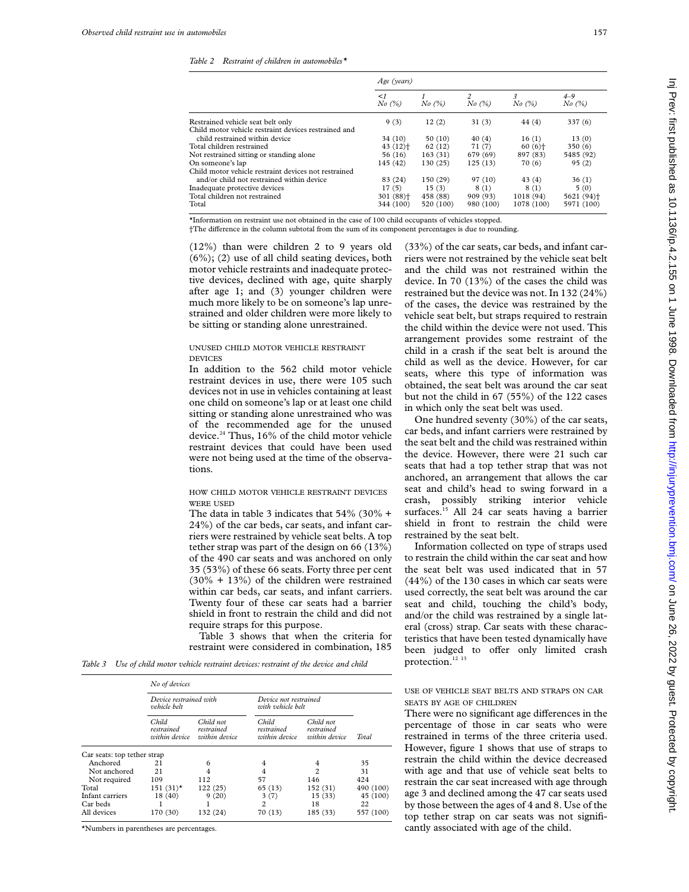|                                                      | Age (years)            |           |             |                      |                         |
|------------------------------------------------------|------------------------|-----------|-------------|----------------------|-------------------------|
|                                                      | $\lt$ 1<br>No (%)      | No (%)    | 2<br>No (%) | 3<br>No (%)          | $4 - 9$<br>No (%)       |
| Restrained vehicle seat belt only                    | 9(3)                   | 12(2)     | 31(3)       | 44(4)                | 337(6)                  |
| Child motor vehicle restraint devices restrained and |                        |           |             |                      |                         |
| child restrained within device                       | 34 (10)                | 50(10)    | 40(4)       | 16(1)                | 13(0)                   |
| Total children restrained                            | $43(12)$ <sup>+</sup>  | 62(12)    | 71(7)       | $60(6)$ <sup>+</sup> | 350(6)                  |
| Not restrained sitting or standing alone             | 56 (16)                | 163(31)   | 679 (69)    | 897 (83)             | 5485 (92)               |
| On someone's lap                                     | 145(42)                | 130(25)   | 125(13)     | 70 (6)               | 95(2)                   |
| Child motor vehicle restraint devices not restrained |                        |           |             |                      |                         |
| and/or child not restrained within device            | 83 (24)                | 150 (29)  | 97(10)      | 43(4)                | 36(1)                   |
| Inadequate protective devices                        | 17(5)                  | 15(3)     | 8(1)        | 8(1)                 | 5(0)                    |
| Total children not restrained                        | $301(88)$ <sup>+</sup> | 458 (88)  | 909 (93)    | 1018 (94)            | $5621(94)$ <sup>+</sup> |
| Total                                                | 344 (100)              | 520 (100) | 980 (100)   | 1078 (100)           | 5971 (100)              |

\*Information on restraint use not obtained in the case of 100 child occupants of vehicles stopped.

†The difference in the column subtotal from the sum of its component percentages is due to rounding.

(12%) than were children 2 to 9 years old  $(6\%)$ ; (2) use of all child seating devices, both motor vehicle restraints and inadequate protective devices, declined with age, quite sharply after age 1; and (3) younger children were much more likely to be on someone's lap unrestrained and older children were more likely to be sitting or standing alone unrestrained.

### UNUSED CHILD MOTOR VEHICLE RESTRAINT DEVICES

In addition to the 562 child motor vehicle restraint devices in use, there were 105 such devices not in use in vehicles containing at least one child on someone's lap or at least one child sitting or standing alone unrestrained who was of the recommended age for the unused device.<sup>24</sup> Thus,  $16\%$  of the child motor vehicle restraint devices that could have been used were not being used at the time of the observations.

#### HOW CHILD MOTOR VEHICLE RESTRAINT DEVICES WERE USED

The data in table 3 indicates that 54% (30% + 24%) of the car beds, car seats, and infant carriers were restrained by vehicle seat belts. A top tether strap was part of the design on 66 (13%) of the 490 car seats and was anchored on only 35 (53%) of these 66 seats. Forty three per cent (30% + 13%) of the children were restrained within car beds, car seats, and infant carriers. Twenty four of these car seats had a barrier shield in front to restrain the child and did not require straps for this purpose.

Table 3 shows that when the criteria for restraint were considered in combination, 185

*Table 3 Use of child motor vehicle restraint devices: restraint of the device and child*

|                             | No of devices                          |                                          |                                            |                                          |              |
|-----------------------------|----------------------------------------|------------------------------------------|--------------------------------------------|------------------------------------------|--------------|
|                             | Device restrained with<br>vehicle belt |                                          | Device not restrained<br>with vehicle belt |                                          |              |
|                             | Child<br>restrained<br>within device   | Child not<br>restrained<br>within device | Child<br>restrained<br>within device       | Child not<br>restrained<br>within device | <b>Total</b> |
| Car seats: top tether strap |                                        |                                          |                                            |                                          |              |
| Anchored                    | 21                                     | 6                                        | 4                                          | 4                                        | 35           |
| Not anchored                | 21                                     | 4                                        | 4                                          | $\overline{c}$                           | 31           |
| Not required                | 109                                    | 112                                      | 57                                         | 146                                      | 424          |
| Total                       | $151(31)$ *                            | 122(25)                                  | 65 (13)                                    | 152(31)                                  | 490 (100)    |
| Infant carriers             | 18 (40)                                | 9(20)                                    | 3(7)                                       | 15(33)                                   | 45 (100)     |
| Car beds                    |                                        |                                          | $\overline{c}$                             | 18                                       | 22           |
| All devices                 | 170 (30)                               | 132 (24)                                 | 70 (13)                                    | 185 (33)                                 | 557 (100)    |

\*Numbers in parentheses are percentages.

(33%) of the car seats, car beds, and infant carriers were not restrained by the vehicle seat belt and the child was not restrained within the device. In 70 (13%) of the cases the child was restrained but the device was not. In 132 (24%) of the cases, the device was restrained by the vehicle seat belt, but straps required to restrain the child within the device were not used. This arrangement provides some restraint of the child in a crash if the seat belt is around the child as well as the device. However, for car seats, where this type of information was obtained, the seat belt was around the car seat but not the child in 67 (55%) of the 122 cases in which only the seat belt was used.

One hundred seventy (30%) of the car seats, car beds, and infant carriers were restrained by the seat belt and the child was restrained within the device. However, there were 21 such car seats that had a top tether strap that was not anchored, an arrangement that allows the car seat and child's head to swing forward in a crash, possibly striking interior vehicle surfaces.<sup>15</sup> All 24 car seats having a barrier shield in front to restrain the child were restrained by the seat belt.

Information collected on type of straps used to restrain the child within the car seat and how the seat belt was used indicated that in 57 (44%) of the 130 cases in which car seats were used correctly, the seat belt was around the car seat and child, touching the child's body, and/or the child was restrained by a single lateral (cross) strap. Car seats with these characteristics that have been tested dynamically have been judged to offer only limited crash protection.<sup>12</sup><sup>13</sup>

# USE OF VEHICLE SEAT BELTS AND STRAPS ON CAR SEATS BY AGE OF CHILDREN

There were no significant age differences in the percentage of those in car seats who were restrained in terms of the three criteria used. However, figure 1 shows that use of straps to restrain the child within the device decreased with age and that use of vehicle seat belts to restrain the car seat increased with age through age 3 and declined among the 47 car seats used by those between the ages of 4 and 8. Use of the top tether strap on car seats was not significantly associated with age of the child.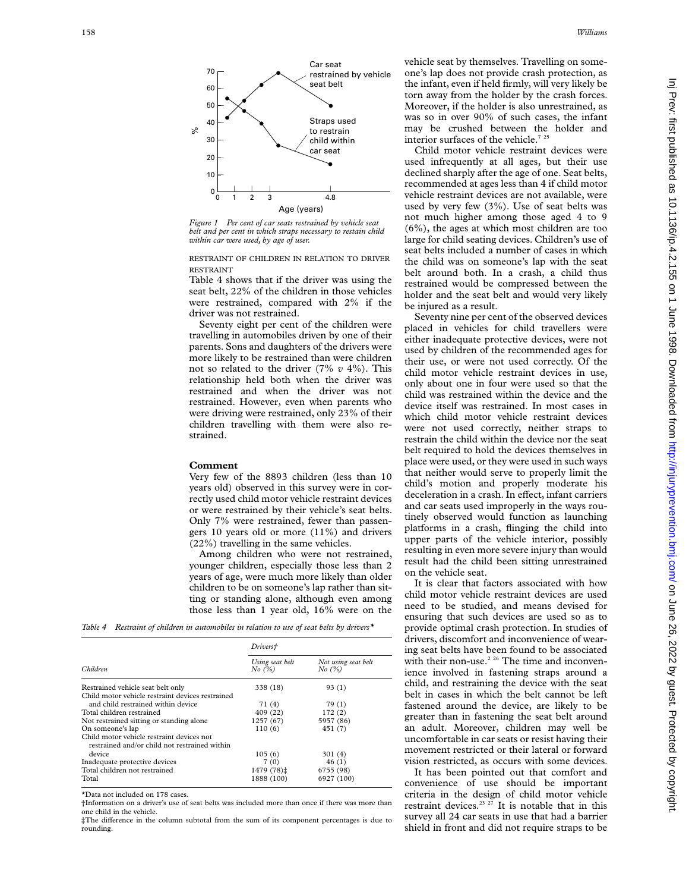

*Figure 1 Per cent of car seats restrained by vehicle seat belt and per cent in which straps necessary to restain child within car were used, by age of user.*

RESTRAINT OF CHILDREN IN RELATION TO DRIVER RESTRAINT

Table 4 shows that if the driver was using the seat belt, 22% of the children in those vehicles were restrained, compared with 2% if the driver was not restrained.

Seventy eight per cent of the children were travelling in automobiles driven by one of their parents. Sons and daughters of the drivers were more likely to be restrained than were children not so related to the driver (7% *v* 4%). This relationship held both when the driver was restrained and when the driver was not restrained. However, even when parents who were driving were restrained, only 23% of their children travelling with them were also restrained.

#### **Comment**

Very few of the 8893 children (less than 10 years old) observed in this survey were in correctly used child motor vehicle restraint devices or were restrained by their vehicle's seat belts. Only 7% were restrained, fewer than passengers 10 years old or more (11%) and drivers (22%) travelling in the same vehicles.

Among children who were not restrained, younger children, especially those less than 2 years of age, were much more likely than older children to be on someone's lap rather than sitting or standing alone, although even among those less than 1 year old, 16% were on the

*Table 4 Restraint of children in automobiles in relation to use of seat belts by drivers\**

|                                                                                            | Drivers+                  |                               |  |
|--------------------------------------------------------------------------------------------|---------------------------|-------------------------------|--|
| Children                                                                                   | Using seat belt<br>No (%) | Not using seat belt<br>No (%) |  |
| Restrained vehicle seat belt only                                                          | 338 (18)                  | 93(1)                         |  |
| Child motor vehicle restraint devices restrained                                           |                           |                               |  |
| and child restrained within device                                                         | 71 (4)                    | 79(1)                         |  |
| Total children restrained                                                                  | 409 (22)                  | 172(2)                        |  |
| Not restrained sitting or standing alone                                                   | 1257 (67)                 | 5957 (86)                     |  |
| On someone's lap                                                                           | 110(6)                    | 451(7)                        |  |
| Child motor vehicle restraint devices not<br>restrained and/or child not restrained within |                           |                               |  |
| device                                                                                     | 105(6)                    | 301(4)                        |  |
| Inadequate protective devices                                                              | 7(0)                      | 46(1)                         |  |
| Total children not restrained                                                              | 1479 (78) $\ddagger$      | 6755 (98)                     |  |
| Total                                                                                      | 1888 (100)                | 6927 (100)                    |  |

\*Data not included on 178 cases.

†Information on a driver's use of seat belts was included more than once if there was more than one child in the vehicle.

‡The difference in the column subtotal from the sum of its component percentages is due to rounding.

vehicle seat by themselves. Travelling on someone's lap does not provide crash protection, as the infant, even if held firmly, will very likely be torn away from the holder by the crash forces. Moreover, if the holder is also unrestrained, as was so in over 90% of such cases, the infant may be crushed between the holder and interior surfaces of the vehicle.<sup>7</sup>  $25$ 

Child motor vehicle restraint devices were used infrequently at all ages, but their use declined sharply after the age of one. Seat belts, recommended at ages less than 4 if child motor vehicle restraint devices are not available, were used by very few (3%). Use of seat belts was not much higher among those aged 4 to 9  $(6\%)$ , the ages at which most children are too large for child seating devices. Children's use of seat belts included a number of cases in which the child was on someone's lap with the seat belt around both. In a crash, a child thus restrained would be compressed between the holder and the seat belt and would very likely be injured as a result.

Seventy nine per cent of the observed devices placed in vehicles for child travellers were either inadequate protective devices, were not used by children of the recommended ages for their use, or were not used correctly. Of the child motor vehicle restraint devices in use, only about one in four were used so that the child was restrained within the device and the device itself was restrained. In most cases in which child motor vehicle restraint devices were not used correctly, neither straps to restrain the child within the device nor the seat belt required to hold the devices themselves in place were used, or they were used in such ways that neither would serve to properly limit the child's motion and properly moderate his deceleration in a crash. In effect, infant carriers and car seats used improperly in the ways routinely observed would function as launching platforms in a crash, flinging the child into upper parts of the vehicle interior, possibly resulting in even more severe injury than would result had the child been sitting unrestrained on the vehicle seat.

It is clear that factors associated with how child motor vehicle restraint devices are used need to be studied, and means devised for ensuring that such devices are used so as to provide optimal crash protection. In studies of drivers, discomfort and inconvenience of wearing seat belts have been found to be associated with their non-use.<sup>2 26</sup> The time and inconvenience involved in fastening straps around a child, and restraining the device with the seat belt in cases in which the belt cannot be left fastened around the device, are likely to be greater than in fastening the seat belt around an adult. Moreover, children may well be uncomfortable in car seats or resist having their movement restricted or their lateral or forward vision restricted, as occurs with some devices.

It has been pointed out that comfort and convenience of use should be important criteria in the design of child motor vehicle restraint devices.<sup>23 27</sup> It is notable that in this survey all 24 car seats in use that had a barrier shield in front and did not require straps to be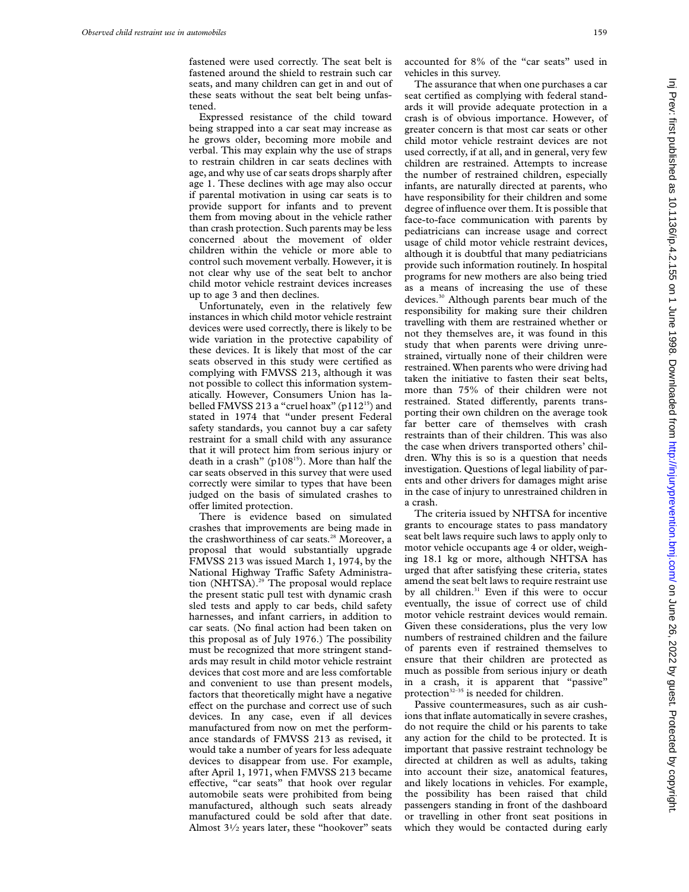fastened were used correctly. The seat belt is fastened around the shield to restrain such car seats, and many children can get in and out of these seats without the seat belt being unfastened.

Expressed resistance of the child toward being strapped into a car seat may increase as he grows older, becoming more mobile and verbal. This may explain why the use of straps to restrain children in car seats declines with age, and why use of car seats drops sharply after age 1. These declines with age may also occur if parental motivation in using car seats is to provide support for infants and to prevent them from moving about in the vehicle rather than crash protection. Such parents may be less concerned about the movement of older children within the vehicle or more able to control such movement verbally. However, it is not clear why use of the seat belt to anchor child motor vehicle restraint devices increases up to age 3 and then declines.

Unfortunately, even in the relatively few instances in which child motor vehicle restraint devices were used correctly, there is likely to be wide variation in the protective capability of these devices. It is likely that most of the car seats observed in this study were certified as complying with FMVSS 213, although it was not possible to collect this information systematically. However, Consumers Union has labelled FMVSS 213 a "cruel hoax" ( $p112^{15}$ ) and stated in 1974 that "under present Federal safety standards, you cannot buy a car safety restraint for a small child with any assurance that it will protect him from serious injury or death in a crash" ( $p108^{15}$ ). More than half the car seats observed in this survey that were used correctly were similar to types that have been judged on the basis of simulated crashes to offer limited protection.

There is evidence based on simulated crashes that improvements are being made in the crashworthiness of car seats.<sup>28</sup> Moreover, a proposal that would substantially upgrade FMVSS 213 was issued March 1, 1974, by the National Highway Traffic Safety Administration (NHTSA).<sup>29</sup> The proposal would replace the present static pull test with dynamic crash sled tests and apply to car beds, child safety harnesses, and infant carriers, in addition to car seats. (No final action had been taken on this proposal as of July 1976.) The possibility must be recognized that more stringent standards may result in child motor vehicle restraint devices that cost more and are less comfortable and convenient to use than present models, factors that theoretically might have a negative effect on the purchase and correct use of such devices. In any case, even if all devices manufactured from now on met the performance standards of FMVSS 213 as revised, it would take a number of years for less adequate devices to disappear from use. For example, after April 1, 1971, when FMVSS 213 became effective, "car seats" that hook over regular automobile seats were prohibited from being manufactured, although such seats already manufactured could be sold after that date. Almost  $3\frac{1}{2}$  years later, these "hookover" seats

accounted for 8% of the "car seats" used in vehicles in this survey.

The assurance that when one purchases a car seat certified as complying with federal standards it will provide adequate protection in a crash is of obvious importance. However, of greater concern is that most car seats or other child motor vehicle restraint devices are not used correctly, if at all, and in general, very few children are restrained. Attempts to increase the number of restrained children, especially infants, are naturally directed at parents, who have responsibility for their children and some degree of influence over them. It is possible that face-to-face communication with parents by pediatricians can increase usage and correct usage of child motor vehicle restraint devices, although it is doubtful that many pediatricians provide such information routinely. In hospital programs for new mothers are also being tried as a means of increasing the use of these devices.30 Although parents bear much of the responsibility for making sure their children travelling with them are restrained whether or not they themselves are, it was found in this study that when parents were driving unrestrained, virtually none of their children were restrained. When parents who were driving had taken the initiative to fasten their seat belts, more than 75% of their children were not restrained. Stated differently, parents transporting their own children on the average took far better care of themselves with crash restraints than of their children. This was also the case when drivers transported others' children. Why this is so is a question that needs investigation. Questions of legal liability of parents and other drivers for damages might arise in the case of injury to unrestrained children in a crash.

The criteria issued by NHTSA for incentive grants to encourage states to pass mandatory seat belt laws require such laws to apply only to motor vehicle occupants age 4 or older, weighing 18.1 kg or more, although NHTSA has urged that after satisfying these criteria, states amend the seat belt laws to require restraint use by all children.<sup>31</sup> Even if this were to occur eventually, the issue of correct use of child motor vehicle restraint devices would remain. Given these considerations, plus the very low numbers of restrained children and the failure of parents even if restrained themselves to ensure that their children are protected as much as possible from serious injury or death in a crash, it is apparent that "passive" protection<sup>32-35</sup> is needed for children.

Passive countermeasures, such as air cushions that inflate automatically in severe crashes, do not require the child or his parents to take any action for the child to be protected. It is important that passive restraint technology be directed at children as well as adults, taking into account their size, anatomical features, and likely locations in vehicles. For example, the possibility has been raised that child passengers standing in front of the dashboard or travelling in other front seat positions in which they would be contacted during early